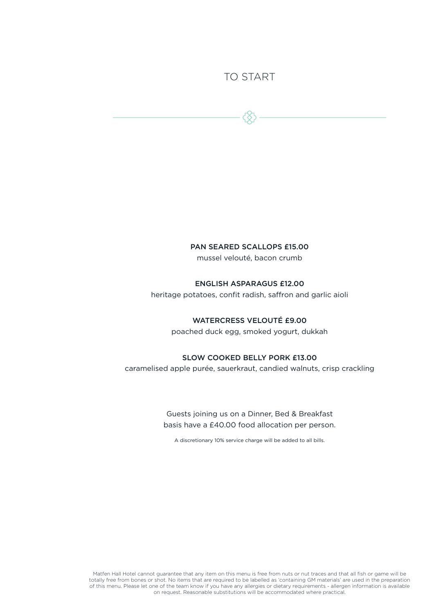### TO START

PAN SEARED SCALLOPS £15.00

mussel velouté, bacon crumb

#### ENGLISH ASPARAGUS £12.00

heritage potatoes, confit radish, saffron and garlic aioli

#### WATERCRESS VELOUTÉ £9.00

poached duck egg, smoked yogurt, dukkah

#### SLOW COOKED BELLY PORK £13.00

caramelised apple purée, sauerkraut, candied walnuts, crisp crackling

Guests joining us on a Dinner, Bed & Breakfast basis have a £40.00 food allocation per person.

A discretionary 10% service charge will be added to all bills.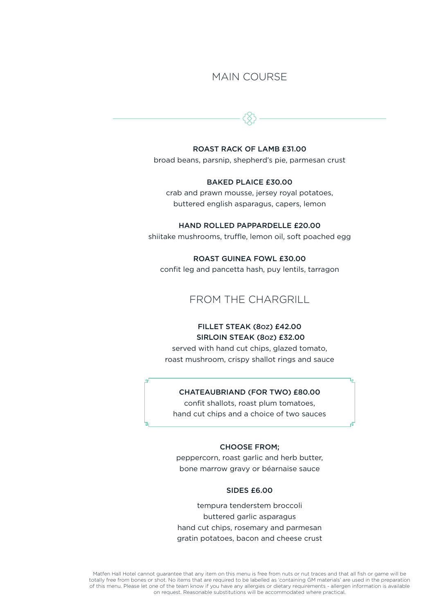### MAIN COURSE

#### ROAST RACK OF LAMB £31.00

broad beans, parsnip, shepherd's pie, parmesan crust

#### BAKED PLAICE £30.00

crab and prawn mousse, jersey royal potatoes, buttered english asparagus, capers, lemon

#### HAND ROLLED PAPPARDELLE £20.00

shiitake mushrooms, truffle, lemon oil, soft poached egg

#### ROAST GUINEA FOWL £30.00

confit leg and pancetta hash, puy lentils, tarragon

### FROM THE CHARGRILL

### FILLET STEAK (8OZ) £42.00 SIRLOIN STEAK (80Z) £32.00

served with hand cut chips, glazed tomato, roast mushroom, crispy shallot rings and sauce

#### CHATEAUBRIAND (FOR TWO) £80.00

confit shallots, roast plum tomatoes, hand cut chips and a choice of two sauces

#### CHOOSE FROM;

peppercorn, roast garlic and herb butter, bone marrow gravy or béarnaise sauce

#### SIDES £6.00

tempura tenderstem broccoli buttered garlic asparagus hand cut chips, rosemary and parmesan gratin potatoes, bacon and cheese crust

Matfen Hall Hotel cannot guarantee that any item on this menu is free from nuts or nut traces and that all fish or game will be totally free from bones or shot. No items that are required to be labelled as 'containing GM materials' are used in the preparation of this menu. Please let one of the team know if you have any allergies or dietary requirements - allergen information is available on request. Reasonable substitutions will be accommodated where practical.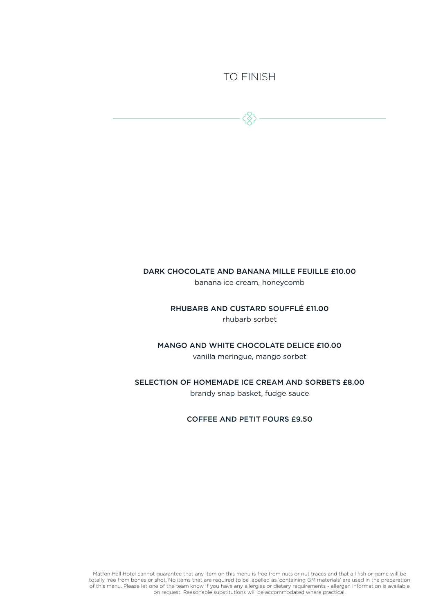### TO FINISH

# DARK CHOCOLATE AND BANANA MILLE FEUILLE £10.00

banana ice cream, honeycomb

RHUBARB AND CUSTARD SOUFFLÉ £11.00 rhubarb sorbet

MANGO AND WHITE CHOCOLATE DELICE £10.00

vanilla meringue, mango sorbet

SELECTION OF HOMEMADE ICE CREAM AND SORBETS £8.00 brandy snap basket, fudge sauce

COFFEE AND PETIT FOURS £9.50

Matfen Hall Hotel cannot guarantee that any item on this menu is free from nuts or nut traces and that all fish or game will be totally free from bones or shot. No items that are required to be labelled as 'containing GM materials' are used in the preparation of this menu. Please let one of the team know if you have any allergies or dietary requirements - allergen information is available on request. Reasonable substitutions will be accommodated where practical.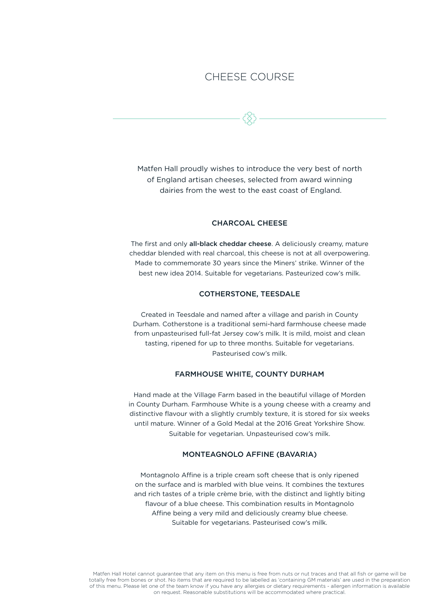### CHEESE COURSE

Matfen Hall proudly wishes to introduce the very best of north of England artisan cheeses, selected from award winning dairies from the west to the east coast of England.

#### CHARCOAL CHEESE

The first and only all-black cheddar cheese. A deliciously creamy, mature cheddar blended with real charcoal, this cheese is not at all overpowering. Made to commemorate 30 years since the Miners' strike. Winner of the best new idea 2014. Suitable for vegetarians. Pasteurized cow's milk.

#### COTHERSTONE, TEESDALE

Created in Teesdale and named after a village and parish in County Durham. Cotherstone is a traditional semi-hard farmhouse cheese made from unpasteurised full-fat Jersey cow's milk. It is mild, moist and clean tasting, ripened for up to three months. Suitable for vegetarians. Pasteurised cow's milk.

#### FARMHOUSE WHITE, COUNTY DURHAM

Hand made at the Village Farm based in the beautiful village of Morden in County Durham. Farmhouse White is a young cheese with a creamy and distinctive flavour with a slightly crumbly texture, it is stored for six weeks until mature. Winner of a Gold Medal at the 2016 Great Yorkshire Show. Suitable for vegetarian. Unpasteurised cow's milk.

#### MONTEAGNOLO AFFINE (BAVARIA)

Montagnolo Affine is a triple cream soft cheese that is only ripened on the surface and is marbled with blue veins. It combines the textures and rich tastes of a triple crème brie, with the distinct and lightly biting flavour of a blue cheese. This combination results in Montagnolo Affine being a very mild and deliciously creamy blue cheese. Suitable for vegetarians. Pasteurised cow's milk.

Matfen Hall Hotel cannot guarantee that any item on this menu is free from nuts or nut traces and that all fish or game will be totally free from bones or shot. No items that are required to be labelled as 'containing GM materials' are used in the preparation of this menu. Please let one of the team know if you have any allergies or dietary requirements - allergen information is available on request. Reasonable substitutions will be accommodated where practical.